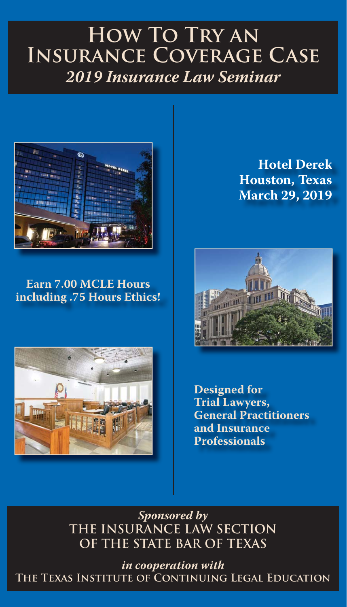## **How To Try an Insurance Coverage Case**  *2019 Insurance Law Seminar*



**Earn 7.00 MCLE Hours including .75 Hours Ethics!**



**Hotel Derek Houston, Texas March 29, 2019**



**Designed for Trial Lawyers, General Practitioners and Insurance Professionals**

*Sponsored by* **THE INSURANCE LAW SECTION OF THE STATE BAR OF TEXAS**

*in cooperation with* **The Texas Institute of Continuing Legal Education**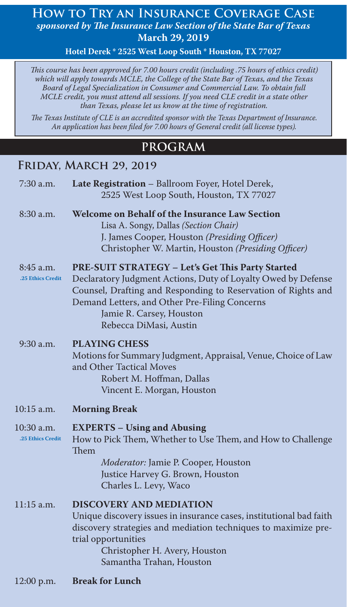#### **How to Try an Insurance Coverage Case** sponsored by The Insurance Law Section of the State Bar of Texas **March 29, 2019**

**Hotel Derek \* 2525 West Loop South \* Houston, TX 77027**

*This course has been approved for 7.00 hours credit (including .75 hours of ethics credit) which will apply towards MCLE, the College of the State Bar of Texas, and the Texas Board of Legal Specialization in Consumer and Commercial Law. To obtain full MCLE credit, you must attend all sessions. If you need CLE credit in a state other than Texas, please let us know at the time of registration.* 

The Texas Institute of CLE is an accredited sponsor with the Texas Department of Insurance. An application has been filed for 7.00 hours of General credit (all license types).

#### **PROGRAM**

#### **FRIDAY, MARCH 29, 2019**

| 7:30 a.m.                       | Late Registration - Ballroom Foyer, Hotel Derek,<br>2525 West Loop South, Houston, TX 77027                                                                                                                                                                                               |  |  |
|---------------------------------|-------------------------------------------------------------------------------------------------------------------------------------------------------------------------------------------------------------------------------------------------------------------------------------------|--|--|
| 8:30 a.m.                       | <b>Welcome on Behalf of the Insurance Law Section</b><br>Lisa A. Songy, Dallas (Section Chair)<br>J. James Cooper, Houston (Presiding Officer)<br>Christopher W. Martin, Houston (Presiding Officer)                                                                                      |  |  |
| 8:45 a.m.<br>.25 Ethics Credit  | PRE-SUIT STRATEGY - Let's Get This Party Started<br>Declaratory Judgment Actions, Duty of Loyalty Owed by Defense<br>Counsel, Drafting and Responding to Reservation of Rights and<br>Demand Letters, and Other Pre-Filing Concerns<br>Jamie R. Carsey, Houston<br>Rebecca DiMasi, Austin |  |  |
| 9:30 a.m.                       | <b>PLAYING CHESS</b><br>Motions for Summary Judgment, Appraisal, Venue, Choice of Law<br>and Other Tactical Moves<br>Robert M. Hoffman, Dallas<br>Vincent E. Morgan, Houston                                                                                                              |  |  |
| 10:15 a.m.                      | <b>Morning Break</b>                                                                                                                                                                                                                                                                      |  |  |
| 10:30 a.m.<br>.25 Ethics Credit | <b>EXPERTS - Using and Abusing</b><br>How to Pick Them, Whether to Use Them, and How to Challenge<br>Them<br>Moderator: Jamie P. Cooper, Houston<br>Justice Harvey G. Brown, Houston<br>Charles L. Levy, Waco                                                                             |  |  |
| 11:15 a.m.                      | <b>DISCOVERY AND MEDIATION</b><br>Unique discovery issues in insurance cases, institutional bad faith<br>discovery strategies and mediation techniques to maximize pre-<br>trial opportunities<br>Christopher H. Avery, Houston<br>Samantha Trahan, Houston                               |  |  |
| 12:00 p.m.                      | <b>Break for Lunch</b>                                                                                                                                                                                                                                                                    |  |  |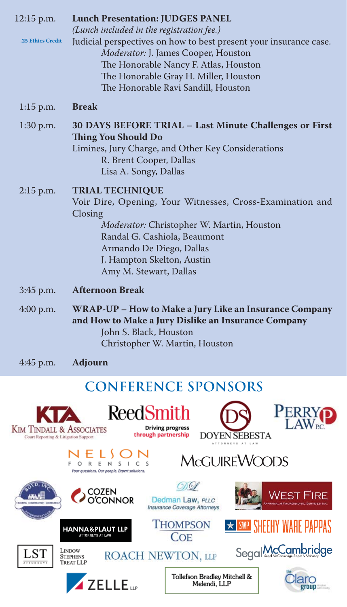| 12:15 p.m.        | <b>Lunch Presentation: JUDGES PANEL</b><br>(Lunch included in the registration fee.)                                                                                                                                                                            |
|-------------------|-----------------------------------------------------------------------------------------------------------------------------------------------------------------------------------------------------------------------------------------------------------------|
| .25 Ethics Credit | Judicial perspectives on how to best present your insurance case.<br>Moderator: J. James Cooper, Houston<br>The Honorable Nancy F. Atlas, Houston<br>The Honorable Gray H. Miller, Houston<br>The Honorable Ravi Sandill, Houston                               |
| $1:15$ p.m.       | <b>Break</b>                                                                                                                                                                                                                                                    |
| 1:30 p.m.         | 30 DAYS BEFORE TRIAL - Last Minute Challenges or First<br><b>Thing You Should Do</b><br>Limines, Jury Charge, and Other Key Considerations<br>R. Brent Cooper, Dallas<br>Lisa A. Songy, Dallas                                                                  |
| $2:15$ p.m.       | <b>TRIAL TECHNIQUE</b><br>Voir Dire, Opening, Your Witnesses, Cross-Examination and<br>Closing<br>Moderator: Christopher W. Martin, Houston<br>Randal G. Cashiola, Beaumont<br>Armando De Diego, Dallas<br>J. Hampton Skelton, Austin<br>Amy M. Stewart, Dallas |
| 3:45 p.m.         | <b>Afternoon Break</b>                                                                                                                                                                                                                                          |
| $4:00$ p.m.       | WRAP-UP – How to Make a Jury Like an Insurance Company<br>and How to Make a Jury Dislike an Insurance Company<br>John S. Black, Houston<br>Christopher W. Martin, Houston                                                                                       |
| 4:45 p.m.         | <b>Adjourn</b>                                                                                                                                                                                                                                                  |

## **CONFERENCE SPONSORS**

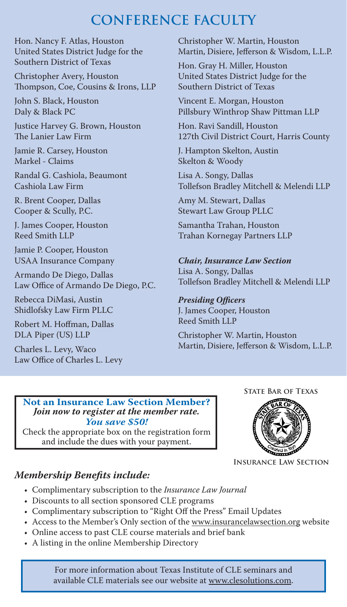## **CONFERENCE FACULTY**

Hon. Nancy F. Atlas, Houston United States District Judge for the Southern District of Texas

Christopher Avery, Houston Thompson, Coe, Cousins & Irons, LLP

John S. Black, Houston Daly & Black PC

Justice Harvey G. Brown, Houston The Lanier Law Firm

Jamie R. Carsey, Houston Markel - Claims

Randal G. Cashiola, Beaumont Cashiola Law Firm

R. Brent Cooper, Dallas Cooper & Scully, P.C.

J. James Cooper, Houston Reed Smith LLP

Jamie P. Cooper, Houston USAA Insurance Company

Armando De Diego, Dallas Law Office of Armando De Diego, P.C.

Rebecca DiMasi, Austin Shidlofsky Law Firm PLLC

Robert M. Hoffman, Dallas DLA Piper (US) LLP

Charles L. Levy, Waco Law Office of Charles L. Levy Christopher W. Martin, Houston Martin, Disiere, Jefferson & Wisdom, L.L.P.

Hon. Gray H. Miller, Houston United States District Judge for the Southern District of Texas

Vincent E. Morgan, Houston Pillsbury Winthrop Shaw Pittman LLP

Hon. Ravi Sandill, Houston 127th Civil District Court, Harris County

J. Hampton Skelton, Austin Skelton & Woody

Lisa A. Songy, Dallas Tollefson Bradley Mitchell & Melendi LLP

Amy M. Stewart, Dallas Stewart Law Group PLLC

Samantha Trahan, Houston Trahan Kornegay Partners LLP

## *Chair, Insurance Law Section*

Lisa A. Songy, Dallas Tollefson Bradley Mitchell & Melendi LLP

#### **Presiding Officers**

J. James Cooper, Houston Reed Smith LLP

Christopher W. Martin, Houston Martin, Disiere, Jefferson & Wisdom, L.L.P.

#### **Not an Insurance Law Section Member?** *Join now to register at the member rate. You save \$50!*

Check the appropriate box on the registration form and include the dues with your payment.

**State Bar of Texas**



**Insurance Law Section**

### *Membership Benefits include:*

- Complimentary subscription to the *Insurance Law Journal* •
- Discounts to all section sponsored CLE programs •
- Complimentary subscription to "Right Off the Press" Email Updates •
- Access to the Member's Only section of the www.insurancelawsection.org website
- Online access to past CLE course materials and brief bank •
- A listing in the online Membership Directory •

For more information about Texas Institute of CLE seminars and available CLE materials see our website at www.clesolutions.com.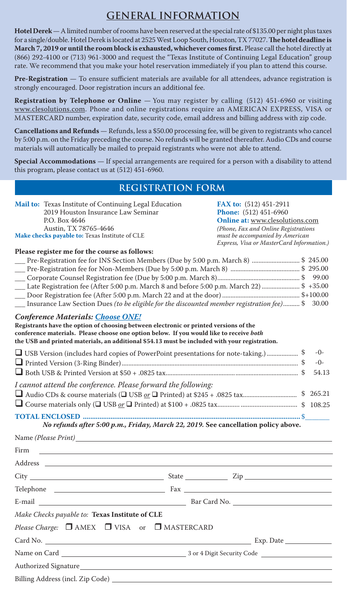#### **GENERAL INFORMATION**

**Hotel Derek** —A limited number of rooms have been reserved at the special rate of \$135.00 per night plus taxes for a single/double. Hotel Derek is located at 2525 West Loop South, Houston, TX 77027. The hotel deadline is **March 7, 2019 or until the room block is exhausted, whichever comes first.** Please call the hotel directly at (866) 292-4100 or (713) 961-3000 and request the "Texas Institute of Continuing Legal Education" group rate. We recommend that you make your hotel reservation immediately if you plan to attend this course.

**Pre-Registration** — To ensure sufficient materials are available for all attendees, advance registration is strongly encouraged. Door registration incurs an additional fee.

**Registration by Telephone or Online** — You may register by calling (512) 451-6960 or visiting www.clesolutions.com. Phone and online registrations require an AMERICAN EXPRESS, VISA or MASTERCARD number, expiration date, security code, email address and billing address with zip code.

**Cancellations and Refunds** — Refunds, less a \$50.00 processing fee, will be given to registrants who cancel by 5:00 p.m. on the Friday preceding the course. No refunds will be granted thereafter. Audio CDs and course materials will automatically be mailed to prepaid registrants who were not able to attend.

**Special Accommodations** — If special arrangements are required for a person with a disability to attend this program, please contact us at (512) 451-6960.

#### **REGISTRATION FORM**

| <b>Mail to:</b> Texas Institute of Continuing Legal Education | <b>FAX to:</b> (512) 451-2911             |
|---------------------------------------------------------------|-------------------------------------------|
| 2019 Houston Insurance Law Seminar                            | <b>Phone:</b> $(512)$ 451-6960            |
| P.O. Box 4646                                                 | <b>Online at: www.clesolutions.com</b>    |
| Austin, TX 78765-4646                                         | (Phone, Fax and Online Registrations)     |
| Make checks payable to: Texas Institute of CLE                | must be accompanied by American           |
|                                                               | Express, Visa or MasterCard Information.) |

#### **Please register me for the course as follows:**

| Late Registration fee (After 5:00 p.m. March 8 and before 5:00 p.m. March 22)  \$ +35.00<br>Insurance Law Section Dues (to be eligible for the discounted member registration fee) \$                                                                                                                                  |  | \$ 245.00<br>30.00      |  |  |  |
|------------------------------------------------------------------------------------------------------------------------------------------------------------------------------------------------------------------------------------------------------------------------------------------------------------------------|--|-------------------------|--|--|--|
| Conference Materials: Choose ONE!<br>Registrants have the option of choosing between electronic or printed versions of the<br>conference materials. Please choose one option below. If you would like to receive both<br>the USB and printed materials, an additional \$54.13 must be included with your registration. |  |                         |  |  |  |
|                                                                                                                                                                                                                                                                                                                        |  | -0-<br>$-()$ -<br>54.13 |  |  |  |
| I cannot attend the conference. Please forward the following:                                                                                                                                                                                                                                                          |  | \$265.21                |  |  |  |

**TOTAL ENCLOSED ......................................................................................................................** \$\_\_\_\_\_\_\_*No refunds after 5:00 p.m., Friday, March 22, 2019.* **See cancellation policy above.**

Name *(Please Print)*

Firm

| E-mail $\frac{1}{\sqrt{1-\frac{1}{2}}\sqrt{1-\frac{1}{2}}\sqrt{1-\frac{1}{2}}\sqrt{1-\frac{1}{2}}\sqrt{1-\frac{1}{2}}\sqrt{1-\frac{1}{2}}\sqrt{1-\frac{1}{2}}\sqrt{1-\frac{1}{2}}\sqrt{1-\frac{1}{2}}\sqrt{1-\frac{1}{2}}\sqrt{1-\frac{1}{2}}\sqrt{1-\frac{1}{2}}\sqrt{1-\frac{1}{2}}\sqrt{1-\frac{1}{2}}\sqrt{1-\frac{1}{2}}\sqrt{1-\frac{1}{2}}\sqrt{1-\frac{1}{2}}\sqrt{1-\frac{1}{2}}\sqrt{1-\frac{1}{2$ |  |  |  |  |  |  |
|--------------------------------------------------------------------------------------------------------------------------------------------------------------------------------------------------------------------------------------------------------------------------------------------------------------------------------------------------------------------------------------------------------------|--|--|--|--|--|--|
| Make Checks payable to: Texas Institute of CLE                                                                                                                                                                                                                                                                                                                                                               |  |  |  |  |  |  |
| Please Charge: $\Box$ AMEX $\Box$ VISA or $\Box$ MASTERCARD                                                                                                                                                                                                                                                                                                                                                  |  |  |  |  |  |  |
|                                                                                                                                                                                                                                                                                                                                                                                                              |  |  |  |  |  |  |
|                                                                                                                                                                                                                                                                                                                                                                                                              |  |  |  |  |  |  |
|                                                                                                                                                                                                                                                                                                                                                                                                              |  |  |  |  |  |  |
|                                                                                                                                                                                                                                                                                                                                                                                                              |  |  |  |  |  |  |